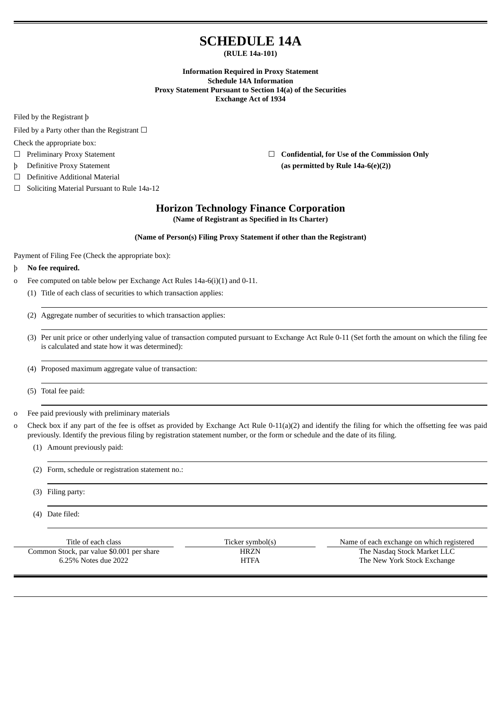# **SCHEDULE 14A**

**(RULE 14a-101)**

**Information Required in Proxy Statement Schedule 14A Information Proxy Statement Pursuant to Section 14(a) of the Securities Exchange Act of 1934**

Filed by the Registrant þ

Filed by a Party other than the Registrant  $□$ 

Check the appropriate box:

- 
- 
- ☐ Definitive Additional Material
- ☐ Soliciting Material Pursuant to Rule 14a-12

☐ Preliminary Proxy Statement ☐ **Confidential, for Use of the Commission Only** þ Definitive Proxy Statement **(as permitted by Rule 14a-6(e)(2))**

## **Horizon Technology Finance Corporation**

**(Name of Registrant as Specified in Its Charter)**

## **(Name of Person(s) Filing Proxy Statement if other than the Registrant)**

Payment of Filing Fee (Check the appropriate box):

## þ **No fee required.**

- o Fee computed on table below per Exchange Act Rules 14a-6(i)(1) and 0-11.
	- (1) Title of each class of securities to which transaction applies:
	- (2) Aggregate number of securities to which transaction applies:
	- (3) Per unit price or other underlying value of transaction computed pursuant to Exchange Act Rule 0-11 (Set forth the amount on which the filing fee is calculated and state how it was determined):
	- (4) Proposed maximum aggregate value of transaction:
	- (5) Total fee paid:

o Fee paid previously with preliminary materials

- o Check box if any part of the fee is offset as provided by Exchange Act Rule 0-11(a)(2) and identify the filing for which the offsetting fee was paid previously. Identify the previous filing by registration statement number, or the form or schedule and the date of its filing.
	- (1) Amount previously paid:

(2) Form, schedule or registration statement no.:

- (3) Filing party:
- (4) Date filed:

| Title of each class                       | Ticker symbol(s) | Name of each exchange on which registered |
|-------------------------------------------|------------------|-------------------------------------------|
| Common Stock, par value \$0.001 per share | HRZN             | The Nasdag Stock Market LLC               |
| 6.25% Notes due 2022                      | HTFA             | The New York Stock Exchange               |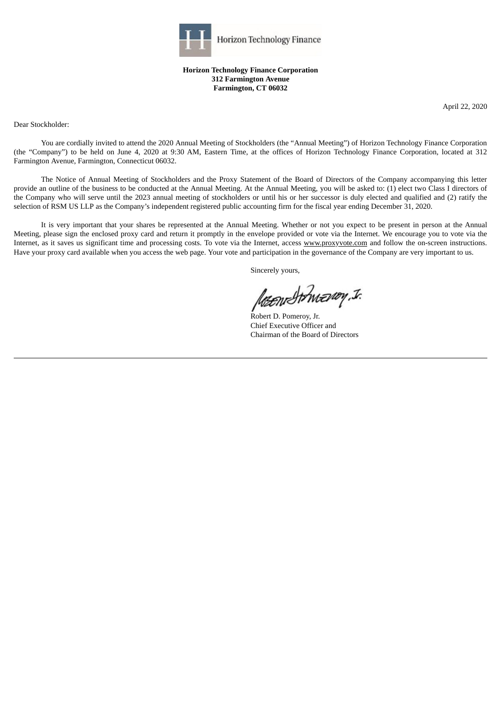

**Horizon Technology Finance Corporation 312 Farmington Avenue Farmington, CT 06032**

April 22, 2020

Dear Stockholder:

You are cordially invited to attend the 2020 Annual Meeting of Stockholders (the "Annual Meeting") of Horizon Technology Finance Corporation (the "Company") to be held on June 4, 2020 at 9:30 AM, Eastern Time, at the offices of Horizon Technology Finance Corporation, located at 312 Farmington Avenue, Farmington, Connecticut 06032.

The Notice of Annual Meeting of Stockholders and the Proxy Statement of the Board of Directors of the Company accompanying this letter provide an outline of the business to be conducted at the Annual Meeting. At the Annual Meeting, you will be asked to: (1) elect two Class I directors of the Company who will serve until the 2023 annual meeting of stockholders or until his or her successor is duly elected and qualified and (2) ratify the selection of RSM US LLP as the Company's independent registered public accounting firm for the fiscal year ending December 31, 2020.

It is very important that your shares be represented at the Annual Meeting. Whether or not you expect to be present in person at the Annual Meeting, please sign the enclosed proxy card and return it promptly in the envelope provided or vote via the Internet. We encourage you to vote via the Internet, as it saves us significant time and processing costs. To vote via the Internet, access www.proxyvote.com and follow the on-screen instructions. Have your proxy card available when you access the web page. Your vote and participation in the governance of the Company are very important to us.

Sincerely yours,

to have the way. I.

Robert D. Pomeroy, Jr. Chief Executive Officer and Chairman of the Board of Directors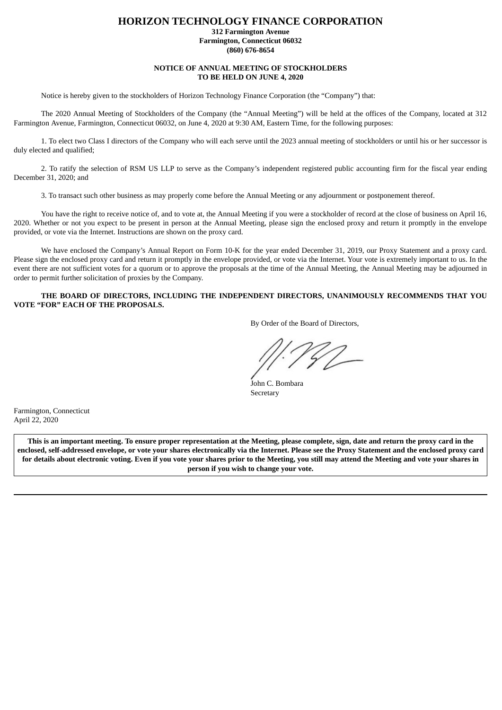## **HORIZON TECHNOLOGY FINANCE CORPORATION**

**312 Farmington Avenue Farmington, Connecticut 06032 (860) 676-8654**

#### **NOTICE OF ANNUAL MEETING OF STOCKHOLDERS TO BE HELD ON JUNE 4, 2020**

Notice is hereby given to the stockholders of Horizon Technology Finance Corporation (the "Company") that:

The 2020 Annual Meeting of Stockholders of the Company (the "Annual Meeting") will be held at the offices of the Company, located at 312 Farmington Avenue, Farmington, Connecticut 06032, on June 4, 2020 at 9:30 AM, Eastern Time, for the following purposes:

1. To elect two Class I directors of the Company who will each serve until the 2023 annual meeting of stockholders or until his or her successor is duly elected and qualified;

2. To ratify the selection of RSM US LLP to serve as the Company's independent registered public accounting firm for the fiscal year ending December 31, 2020; and

3. To transact such other business as may properly come before the Annual Meeting or any adjournment or postponement thereof.

You have the right to receive notice of, and to vote at, the Annual Meeting if you were a stockholder of record at the close of business on April 16, 2020. Whether or not you expect to be present in person at the Annual Meeting, please sign the enclosed proxy and return it promptly in the envelope provided, or vote via the Internet. Instructions are shown on the proxy card.

We have enclosed the Company's Annual Report on Form 10-K for the year ended December 31, 2019, our Proxy Statement and a proxy card. Please sign the enclosed proxy card and return it promptly in the envelope provided, or vote via the Internet. Your vote is extremely important to us. In the event there are not sufficient votes for a quorum or to approve the proposals at the time of the Annual Meeting, the Annual Meeting may be adjourned in order to permit further solicitation of proxies by the Company.

## **THE BOARD OF DIRECTORS, INCLUDING THE INDEPENDENT DIRECTORS, UNANIMOUSLY RECOMMENDS THAT YOU VOTE "FOR" EACH OF THE PROPOSALS.**

By Order of the Board of Directors,

John C. Bombara Secretary

Farmington, Connecticut April 22, 2020

This is an important meeting. To ensure proper representation at the Meeting, please complete, sign, date and return the proxy card in the enclosed, self-addressed envelope, or vote your shares electronically via the Internet. Please see the Proxy Statement and the enclosed proxy card for details about electronic voting. Even if you vote your shares prior to the Meeting, you still may attend the Meeting and vote your shares in **person if you wish to change your vote.**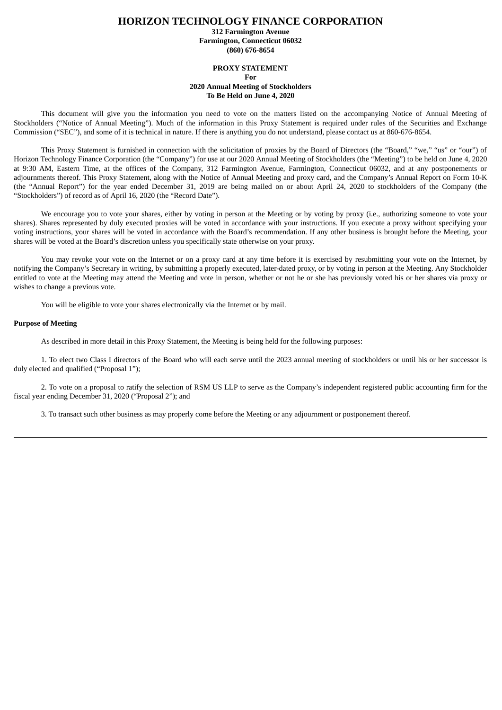## **HORIZON TECHNOLOGY FINANCE CORPORATION**

**312 Farmington Avenue Farmington, Connecticut 06032 (860) 676-8654**

#### **PROXY STATEMENT**

**For**

#### **2020 Annual Meeting of Stockholders To Be Held on June 4, 2020**

This document will give you the information you need to vote on the matters listed on the accompanying Notice of Annual Meeting of Stockholders ("Notice of Annual Meeting"). Much of the information in this Proxy Statement is required under rules of the Securities and Exchange Commission ("SEC"), and some of it is technical in nature. If there is anything you do not understand, please contact us at 860-676-8654.

This Proxy Statement is furnished in connection with the solicitation of proxies by the Board of Directors (the "Board," "we," "us" or "our") of Horizon Technology Finance Corporation (the "Company") for use at our 2020 Annual Meeting of Stockholders (the "Meeting") to be held on June 4, 2020 at 9:30 AM, Eastern Time, at the offices of the Company, 312 Farmington Avenue, Farmington, Connecticut 06032, and at any postponements or adjournments thereof. This Proxy Statement, along with the Notice of Annual Meeting and proxy card, and the Company's Annual Report on Form 10-K (the "Annual Report") for the year ended December 31, 2019 are being mailed on or about April 24, 2020 to stockholders of the Company (the "Stockholders") of record as of April 16, 2020 (the "Record Date").

We encourage you to vote your shares, either by voting in person at the Meeting or by voting by proxy (i.e., authorizing someone to vote your shares). Shares represented by duly executed proxies will be voted in accordance with your instructions. If you execute a proxy without specifying your voting instructions, your shares will be voted in accordance with the Board's recommendation. If any other business is brought before the Meeting, your shares will be voted at the Board's discretion unless you specifically state otherwise on your proxy.

You may revoke your vote on the Internet or on a proxy card at any time before it is exercised by resubmitting your vote on the Internet, by notifying the Company's Secretary in writing, by submitting a properly executed, later-dated proxy, or by voting in person at the Meeting. Any Stockholder entitled to vote at the Meeting may attend the Meeting and vote in person, whether or not he or she has previously voted his or her shares via proxy or wishes to change a previous vote.

You will be eligible to vote your shares electronically via the Internet or by mail.

### **Purpose of Meeting**

As described in more detail in this Proxy Statement, the Meeting is being held for the following purposes:

1. To elect two Class I directors of the Board who will each serve until the 2023 annual meeting of stockholders or until his or her successor is duly elected and qualified ("Proposal 1");

2. To vote on a proposal to ratify the selection of RSM US LLP to serve as the Company's independent registered public accounting firm for the fiscal year ending December 31, 2020 ("Proposal 2"); and

3. To transact such other business as may properly come before the Meeting or any adjournment or postponement thereof.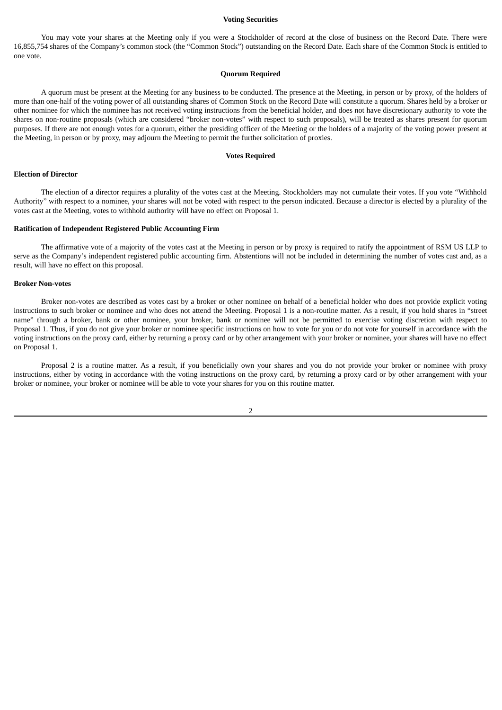#### **Voting Securities**

You may vote your shares at the Meeting only if you were a Stockholder of record at the close of business on the Record Date. There were 16,855,754 shares of the Company's common stock (the "Common Stock") outstanding on the Record Date. Each share of the Common Stock is entitled to one vote.

#### **Quorum Required**

A quorum must be present at the Meeting for any business to be conducted. The presence at the Meeting, in person or by proxy, of the holders of more than one-half of the voting power of all outstanding shares of Common Stock on the Record Date will constitute a quorum. Shares held by a broker or other nominee for which the nominee has not received voting instructions from the beneficial holder, and does not have discretionary authority to vote the shares on non-routine proposals (which are considered "broker non-votes" with respect to such proposals), will be treated as shares present for quorum purposes. If there are not enough votes for a quorum, either the presiding officer of the Meeting or the holders of a majority of the voting power present at the Meeting, in person or by proxy, may adjourn the Meeting to permit the further solicitation of proxies.

#### **Votes Required**

#### **Election of Director**

The election of a director requires a plurality of the votes cast at the Meeting. Stockholders may not cumulate their votes. If you vote "Withhold Authority" with respect to a nominee, your shares will not be voted with respect to the person indicated. Because a director is elected by a plurality of the votes cast at the Meeting, votes to withhold authority will have no effect on Proposal 1.

## **Ratification of Independent Registered Public Accounting Firm**

The affirmative vote of a majority of the votes cast at the Meeting in person or by proxy is required to ratify the appointment of RSM US LLP to serve as the Company's independent registered public accounting firm. Abstentions will not be included in determining the number of votes cast and, as a result, will have no effect on this proposal.

#### **Broker Non-votes**

Broker non-votes are described as votes cast by a broker or other nominee on behalf of a beneficial holder who does not provide explicit voting instructions to such broker or nominee and who does not attend the Meeting. Proposal 1 is a non-routine matter. As a result, if you hold shares in "street name" through a broker, bank or other nominee, your broker, bank or nominee will not be permitted to exercise voting discretion with respect to Proposal 1. Thus, if you do not give your broker or nominee specific instructions on how to vote for you or do not vote for yourself in accordance with the voting instructions on the proxy card, either by returning a proxy card or by other arrangement with your broker or nominee, your shares will have no effect on Proposal 1.

Proposal 2 is a routine matter. As a result, if you beneficially own your shares and you do not provide your broker or nominee with proxy instructions, either by voting in accordance with the voting instructions on the proxy card, by returning a proxy card or by other arrangement with your broker or nominee, your broker or nominee will be able to vote your shares for you on this routine matter.

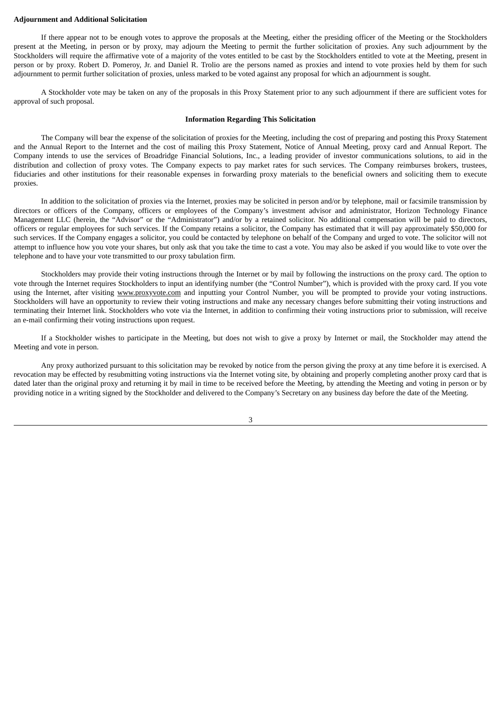#### **Adjournment and Additional Solicitation**

If there appear not to be enough votes to approve the proposals at the Meeting, either the presiding officer of the Meeting or the Stockholders present at the Meeting, in person or by proxy, may adjourn the Meeting to permit the further solicitation of proxies. Any such adjournment by the Stockholders will require the affirmative vote of a majority of the votes entitled to be cast by the Stockholders entitled to vote at the Meeting, present in person or by proxy. Robert D. Pomeroy, Jr. and Daniel R. Trolio are the persons named as proxies and intend to vote proxies held by them for such adjournment to permit further solicitation of proxies, unless marked to be voted against any proposal for which an adjournment is sought.

A Stockholder vote may be taken on any of the proposals in this Proxy Statement prior to any such adjournment if there are sufficient votes for approval of such proposal.

#### **Information Regarding This Solicitation**

The Company will bear the expense of the solicitation of proxies for the Meeting, including the cost of preparing and posting this Proxy Statement and the Annual Report to the Internet and the cost of mailing this Proxy Statement, Notice of Annual Meeting, proxy card and Annual Report. The Company intends to use the services of Broadridge Financial Solutions, Inc., a leading provider of investor communications solutions, to aid in the distribution and collection of proxy votes. The Company expects to pay market rates for such services. The Company reimburses brokers, trustees, fiduciaries and other institutions for their reasonable expenses in forwarding proxy materials to the beneficial owners and soliciting them to execute proxies.

In addition to the solicitation of proxies via the Internet, proxies may be solicited in person and/or by telephone, mail or facsimile transmission by directors or officers of the Company, officers or employees of the Company's investment advisor and administrator, Horizon Technology Finance Management LLC (herein, the "Advisor" or the "Administrator") and/or by a retained solicitor. No additional compensation will be paid to directors, officers or regular employees for such services. If the Company retains a solicitor, the Company has estimated that it will pay approximately \$50,000 for such services. If the Company engages a solicitor, you could be contacted by telephone on behalf of the Company and urged to vote. The solicitor will not attempt to influence how you vote your shares, but only ask that you take the time to cast a vote. You may also be asked if you would like to vote over the telephone and to have your vote transmitted to our proxy tabulation firm.

Stockholders may provide their voting instructions through the Internet or by mail by following the instructions on the proxy card. The option to vote through the Internet requires Stockholders to input an identifying number (the "Control Number"), which is provided with the proxy card. If you vote using the Internet, after visiting www.proxyvote.com and inputting your Control Number, you will be prompted to provide your voting instructions. Stockholders will have an opportunity to review their voting instructions and make any necessary changes before submitting their voting instructions and terminating their Internet link. Stockholders who vote via the Internet, in addition to confirming their voting instructions prior to submission, will receive an e-mail confirming their voting instructions upon request.

If a Stockholder wishes to participate in the Meeting, but does not wish to give a proxy by Internet or mail, the Stockholder may attend the Meeting and vote in person.

Any proxy authorized pursuant to this solicitation may be revoked by notice from the person giving the proxy at any time before it is exercised. A revocation may be effected by resubmitting voting instructions via the Internet voting site, by obtaining and properly completing another proxy card that is dated later than the original proxy and returning it by mail in time to be received before the Meeting, by attending the Meeting and voting in person or by providing notice in a writing signed by the Stockholder and delivered to the Company's Secretary on any business day before the date of the Meeting.

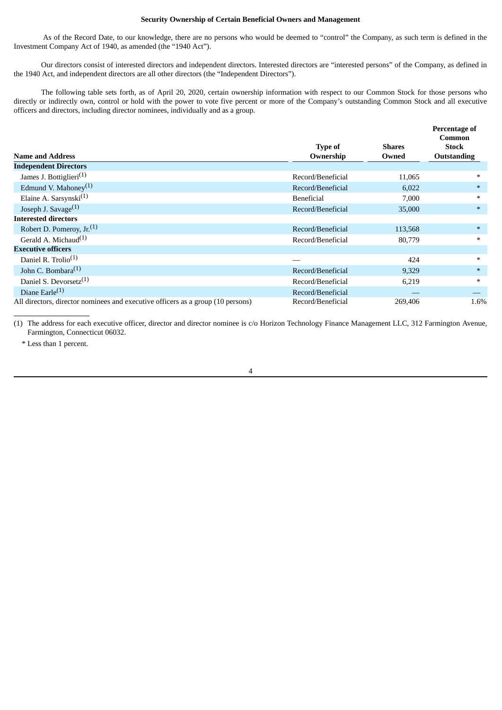## **Security Ownership of Certain Beneficial Owners and Management**

As of the Record Date, to our knowledge, there are no persons who would be deemed to "control" the Company, as such term is defined in the Investment Company Act of 1940, as amended (the "1940 Act").

Our directors consist of interested directors and independent directors. Interested directors are "interested persons" of the Company, as defined in the 1940 Act, and independent directors are all other directors (the "Independent Directors").

The following table sets forth, as of April 20, 2020, certain ownership information with respect to our Common Stock for those persons who directly or indirectly own, control or hold with the power to vote five percent or more of the Company's outstanding Common Stock and all executive officers and directors, including director nominees, individually and as a group.

| <b>Name and Address</b>                                                         | Type of<br>Ownership | <b>Shares</b><br>Owned | Percentage of<br>Common<br><b>Stock</b><br><b>Outstanding</b> |
|---------------------------------------------------------------------------------|----------------------|------------------------|---------------------------------------------------------------|
| <b>Independent Directors</b>                                                    |                      |                        |                                                               |
| James J. Bottiglieri <sup>(1)</sup>                                             | Record/Beneficial    | 11,065                 | $*$                                                           |
| Edmund V. Mahoney <sup>(1)</sup>                                                | Record/Beneficial    | 6,022                  | $\ast$                                                        |
| Elaine A. Sarsynski <sup>(1)</sup>                                              | <b>Beneficial</b>    | 7,000                  | $\ast$                                                        |
| Joseph J. Savage $(1)$                                                          | Record/Beneficial    | 35,000                 | $*$                                                           |
| <b>Interested directors</b>                                                     |                      |                        |                                                               |
| Robert D. Pomeroy, $Jr^{(1)}$                                                   | Record/Beneficial    | 113,568                | $\ast$                                                        |
| Gerald A. Michaud <sup>(1)</sup>                                                | Record/Beneficial    | 80,779                 | $\ast$                                                        |
| <b>Executive officers</b>                                                       |                      |                        |                                                               |
| Daniel R. Trolio <sup>(1)</sup>                                                 |                      | 424                    | $\ast$                                                        |
| John C. Bombara $^{(1)}$                                                        | Record/Beneficial    | 9,329                  | $\ast$                                                        |
| Daniel S. Devorsetz <sup>(1)</sup>                                              | Record/Beneficial    | 6,219                  | $\ast$                                                        |
| Diane Earle $(1)$                                                               | Record/Beneficial    |                        |                                                               |
| All directors, director nominees and executive officers as a group (10 persons) | Record/Beneficial    | 269,406                | 1.6%                                                          |

(1) The address for each executive officer, director and director nominee is c/o Horizon Technology Finance Management LLC, 312 Farmington Avenue, Farmington, Connecticut 06032.

4

\* Less than 1 percent.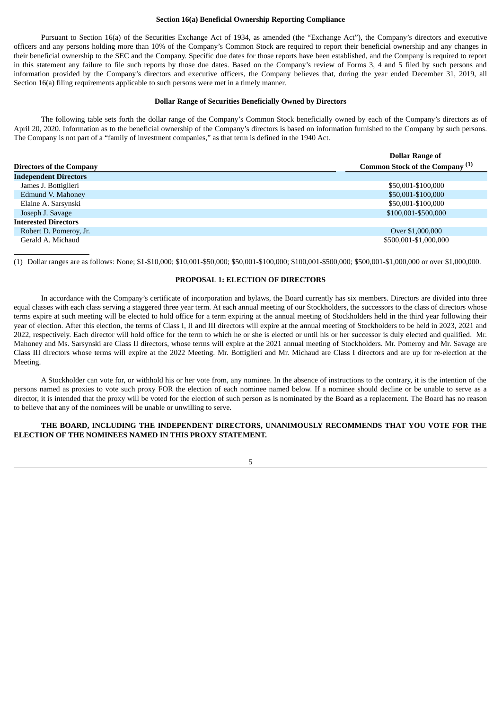### **Section 16(a) Beneficial Ownership Reporting Compliance**

Pursuant to Section 16(a) of the Securities Exchange Act of 1934, as amended (the "Exchange Act"), the Company's directors and executive officers and any persons holding more than 10% of the Company's Common Stock are required to report their beneficial ownership and any changes in their beneficial ownership to the SEC and the Company. Specific due dates for those reports have been established, and the Company is required to report in this statement any failure to file such reports by those due dates. Based on the Company's review of Forms 3, 4 and 5 filed by such persons and information provided by the Company's directors and executive officers, the Company believes that, during the year ended December 31, 2019, all Section 16(a) filing requirements applicable to such persons were met in a timely manner.

#### **Dollar Range of Securities Beneficially Owned by Directors**

The following table sets forth the dollar range of the Company's Common Stock beneficially owned by each of the Company's directors as of April 20, 2020. Information as to the beneficial ownership of the Company's directors is based on information furnished to the Company by such persons. The Company is not part of a "family of investment companies," as that term is defined in the 1940 Act.

|                                 | <b>Dollar Range of</b>                     |
|---------------------------------|--------------------------------------------|
| <b>Directors of the Company</b> | Common Stock of the Company <sup>(1)</sup> |
| <b>Independent Directors</b>    |                                            |
| James J. Bottiglieri            | \$50,001-\$100,000                         |
| Edmund V. Mahoney               | \$50,001-\$100,000                         |
| Elaine A. Sarsynski             | \$50,001-\$100,000                         |
| Joseph J. Savage                | \$100,001-\$500,000                        |
| <b>Interested Directors</b>     |                                            |
| Robert D. Pomeroy, Jr.          | Over \$1,000,000                           |
| Gerald A. Michaud               | \$500,001-\$1,000,000                      |

(1) Dollar ranges are as follows: None; \$1-\$10,000; \$10,001-\$50,000; \$50,001-\$100,000; \$100,001-\$500,000; \$500,001-\$1,000,000 or over \$1,000,000.

## **PROPOSAL 1: ELECTION OF DIRECTORS**

In accordance with the Company's certificate of incorporation and bylaws, the Board currently has six members. Directors are divided into three equal classes with each class serving a staggered three year term. At each annual meeting of our Stockholders, the successors to the class of directors whose terms expire at such meeting will be elected to hold office for a term expiring at the annual meeting of Stockholders held in the third year following their year of election. After this election, the terms of Class I, II and III directors will expire at the annual meeting of Stockholders to be held in 2023, 2021 and 2022, respectively. Each director will hold office for the term to which he or she is elected or until his or her successor is duly elected and qualified. Mr. Mahoney and Ms. Sarsynski are Class II directors, whose terms will expire at the 2021 annual meeting of Stockholders. Mr. Pomeroy and Mr. Savage are Class III directors whose terms will expire at the 2022 Meeting. Mr. Bottiglieri and Mr. Michaud are Class I directors and are up for re-election at the Meeting.

A Stockholder can vote for, or withhold his or her vote from, any nominee. In the absence of instructions to the contrary, it is the intention of the persons named as proxies to vote such proxy FOR the election of each nominee named below. If a nominee should decline or be unable to serve as a director, it is intended that the proxy will be voted for the election of such person as is nominated by the Board as a replacement. The Board has no reason to believe that any of the nominees will be unable or unwilling to serve.

## **THE BOARD, INCLUDING THE INDEPENDENT DIRECTORS, UNANIMOUSLY RECOMMENDS THAT YOU VOTE FOR THE ELECTION OF THE NOMINEES NAMED IN THIS PROXY STATEMENT.**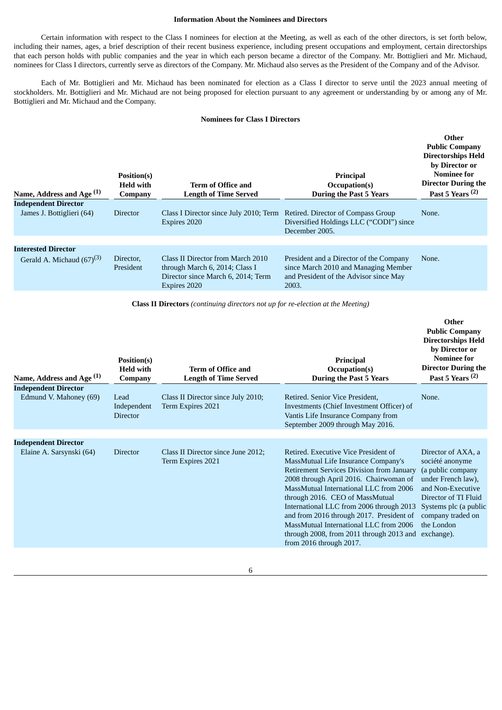## **Information About the Nominees and Directors**

Certain information with respect to the Class I nominees for election at the Meeting, as well as each of the other directors, is set forth below, including their names, ages, a brief description of their recent business experience, including present occupations and employment, certain directorships that each person holds with public companies and the year in which each person became a director of the Company. Mr. Bottiglieri and Mr. Michaud, nominees for Class I directors, currently serve as directors of the Company. Mr. Michaud also serves as the President of the Company and of the Advisor.

Each of Mr. Bottiglieri and Mr. Michaud has been nominated for election as a Class I director to serve until the 2023 annual meeting of stockholders. Mr. Bottiglieri and Mr. Michaud are not being proposed for election pursuant to any agreement or understanding by or among any of Mr. Bottiglieri and Mr. Michaud and the Company.

## **Nominees for Class I Directors**

| Name, Address and Age <sup>(1)</sup>                         | Position(s)<br><b>Held with</b><br>Company | Term of Office and<br><b>Length of Time Served</b>                                                                        | Principal<br>Occupation(s)<br><b>During the Past 5 Years</b>                                                                       | Other<br><b>Public Company</b><br><b>Directorships Held</b><br>by Director or<br><b>Nominee for</b><br><b>Director During the</b><br>Past 5 Years $(2)$ |
|--------------------------------------------------------------|--------------------------------------------|---------------------------------------------------------------------------------------------------------------------------|------------------------------------------------------------------------------------------------------------------------------------|---------------------------------------------------------------------------------------------------------------------------------------------------------|
| <b>Independent Director</b><br>James J. Bottiglieri (64)     | <b>Director</b>                            | Class I Director since July 2010; Term<br>Expires 2020                                                                    | Retired. Director of Compass Group<br>Diversified Holdings LLC ("CODI") since<br>December 2005.                                    | None.                                                                                                                                                   |
| <b>Interested Director</b><br>Gerald A. Michaud $(67)^{(3)}$ | Director,<br>President                     | Class II Director from March 2010<br>through March 6, 2014; Class I<br>Director since March 6, 2014; Term<br>Expires 2020 | President and a Director of the Company<br>since March 2010 and Managing Member<br>and President of the Advisor since May<br>2003. | None.                                                                                                                                                   |

**Class II Directors** *(continuing directors not up for re-election at the Meeting)*

| Name, Address and Age <sup>(1)</sup> | Position(s)<br><b>Held with</b><br>Company | <b>Term of Office and</b><br><b>Length of Time Served</b> | Principal<br>Occupation(s)<br><b>During the Past 5 Years</b>                                                                                                                                                                                                                                                                                                                                                                                                    | Other<br><b>Public Company</b><br><b>Directorships Held</b><br>by Director or<br><b>Nominee for</b><br><b>Director During the</b><br>Past 5 Years $(2)$                                                 |
|--------------------------------------|--------------------------------------------|-----------------------------------------------------------|-----------------------------------------------------------------------------------------------------------------------------------------------------------------------------------------------------------------------------------------------------------------------------------------------------------------------------------------------------------------------------------------------------------------------------------------------------------------|---------------------------------------------------------------------------------------------------------------------------------------------------------------------------------------------------------|
| <b>Independent Director</b>          |                                            |                                                           |                                                                                                                                                                                                                                                                                                                                                                                                                                                                 |                                                                                                                                                                                                         |
| Edmund V. Mahoney (69)               | Lead<br>Independent<br><b>Director</b>     | Class II Director since July 2010;<br>Term Expires 2021   | Retired. Senior Vice President.<br>Investments (Chief Investment Officer) of<br>Vantis Life Insurance Company from<br>September 2009 through May 2016.                                                                                                                                                                                                                                                                                                          | None.                                                                                                                                                                                                   |
| <b>Independent Director</b>          |                                            |                                                           |                                                                                                                                                                                                                                                                                                                                                                                                                                                                 |                                                                                                                                                                                                         |
| Elaine A. Sarsynski (64)             | <b>Director</b>                            | Class II Director since June 2012;<br>Term Expires 2021   | Retired. Executive Vice President of<br>MassMutual Life Insurance Company's<br><b>Retirement Services Division from January</b><br>2008 through April 2016. Chairwoman of<br>MassMutual International LLC from 2006<br>through 2016. CEO of MassMutual<br>International LLC from 2006 through 2013<br>and from 2016 through 2017. President of<br>MassMutual International LLC from 2006<br>through 2008, from 2011 through 2013 and<br>from 2016 through 2017. | Director of AXA, a<br>société anonyme<br>(a public company<br>under French law),<br>and Non-Executive<br>Director of TI Fluid<br>Systems plc (a public<br>company traded on<br>the London<br>exchange). |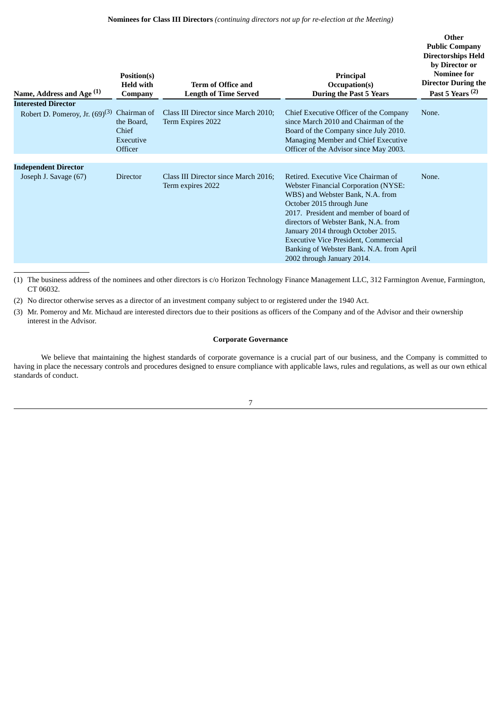| Name, Address and Age <sup>(1)</sup>                              | Position(s)<br><b>Held with</b><br>Company                 | <b>Term of Office and</b><br><b>Length of Time Served</b> | Principal<br>Occupation(s)<br><b>During the Past 5 Years</b>                                                                                                                                                                                                                                                                                                                                         | Other<br><b>Public Company</b><br><b>Directorships Held</b><br>by Director or<br><b>Nominee for</b><br><b>Director During the</b><br>Past 5 Years $(2)$ |
|-------------------------------------------------------------------|------------------------------------------------------------|-----------------------------------------------------------|------------------------------------------------------------------------------------------------------------------------------------------------------------------------------------------------------------------------------------------------------------------------------------------------------------------------------------------------------------------------------------------------------|---------------------------------------------------------------------------------------------------------------------------------------------------------|
| <b>Interested Director</b><br>Robert D. Pomeroy, Jr. $(69)^{(3)}$ | Chairman of<br>the Board.<br>Chief<br>Executive<br>Officer | Class III Director since March 2010;<br>Term Expires 2022 | Chief Executive Officer of the Company<br>since March 2010 and Chairman of the<br>Board of the Company since July 2010.<br>Managing Member and Chief Executive<br>Officer of the Advisor since May 2003.                                                                                                                                                                                             | None.                                                                                                                                                   |
| <b>Independent Director</b><br>Joseph J. Savage (67)              | <b>Director</b>                                            | Class III Director since March 2016;<br>Term expires 2022 | Retired. Executive Vice Chairman of<br><b>Webster Financial Corporation (NYSE:</b><br>WBS) and Webster Bank, N.A. from<br>October 2015 through June<br>2017. President and member of board of<br>directors of Webster Bank, N.A. from<br>January 2014 through October 2015.<br><b>Executive Vice President, Commercial</b><br>Banking of Webster Bank, N.A. from April<br>2002 through January 2014. | None.                                                                                                                                                   |

(1) The business address of the nominees and other directors is c/o Horizon Technology Finance Management LLC, 312 Farmington Avenue, Farmington, CT 06032.

(2) No director otherwise serves as a director of an investment company subject to or registered under the 1940 Act.

(3) Mr. Pomeroy and Mr. Michaud are interested directors due to their positions as officers of the Company and of the Advisor and their ownership interest in the Advisor.

## **Corporate Governance**

We believe that maintaining the highest standards of corporate governance is a crucial part of our business, and the Company is committed to having in place the necessary controls and procedures designed to ensure compliance with applicable laws, rules and regulations, as well as our own ethical standards of conduct.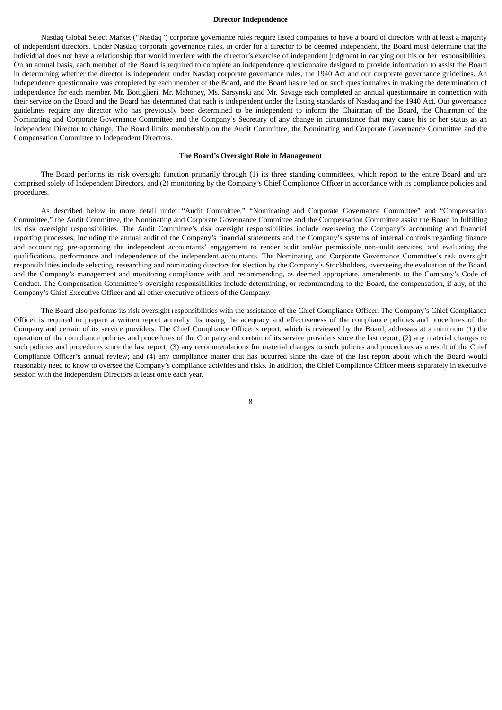#### **Director Independence**

Nasdaq Global Select Market ("Nasdaq") corporate governance rules require listed companies to have a board of directors with at least a majority of independent directors. Under Nasdaq corporate governance rules, in order for a director to be deemed independent, the Board must determine that the individual does not have a relationship that would interfere with the director's exercise of independent judgment in carrying out his or her responsibilities. On an annual basis, each member of the Board is required to complete an independence questionnaire designed to provide information to assist the Board in determining whether the director is independent under Nasdaq corporate governance rules, the 1940 Act and our corporate governance guidelines. An independence questionnaire was completed by each member of the Board, and the Board has relied on such questionnaires in making the determination of independence for each member. Mr. Bottiglieri, Mr. Mahoney, Ms. Sarsynski and Mr. Savage each completed an annual questionnaire in connection with their service on the Board and the Board has determined that each is independent under the listing standards of Nasdaq and the 1940 Act. Our governance guidelines require any director who has previously been determined to be independent to inform the Chairman of the Board, the Chairman of the Nominating and Corporate Governance Committee and the Company's Secretary of any change in circumstance that may cause his or her status as an Independent Director to change. The Board limits membership on the Audit Committee, the Nominating and Corporate Governance Committee and the Compensation Committee to Independent Directors.

## **The Board's Oversight Role in Management**

The Board performs its risk oversight function primarily through (1) its three standing committees, which report to the entire Board and are comprised solely of Independent Directors, and (2) monitoring by the Company's Chief Compliance Officer in accordance with its compliance policies and procedures.

As described below in more detail under "Audit Committee," "Nominating and Corporate Governance Committee" and "Compensation Committee," the Audit Committee, the Nominating and Corporate Governance Committee and the Compensation Committee assist the Board in fulfilling its risk oversight responsibilities. The Audit Committee's risk oversight responsibilities include overseeing the Company's accounting and financial reporting processes, including the annual audit of the Company's financial statements and the Company's systems of internal controls regarding finance and accounting; pre-approving the independent accountants' engagement to render audit and/or permissible non-audit services; and evaluating the qualifications, performance and independence of the independent accountants. The Nominating and Corporate Governance Committee's risk oversight responsibilities include selecting, researching and nominating directors for election by the Company's Stockholders, overseeing the evaluation of the Board and the Company's management and monitoring compliance with and recommending, as deemed appropriate, amendments to the Company's Code of Conduct. The Compensation Committee's oversight responsibilities include determining, or recommending to the Board, the compensation, if any, of the Company's Chief Executive Officer and all other executive officers of the Company.

The Board also performs its risk oversight responsibilities with the assistance of the Chief Compliance Officer. The Company's Chief Compliance Officer is required to prepare a written report annually discussing the adequacy and effectiveness of the compliance policies and procedures of the Company and certain of its service providers. The Chief Compliance Officer's report, which is reviewed by the Board, addresses at a minimum (1) the operation of the compliance policies and procedures of the Company and certain of its service providers since the last report; (2) any material changes to such policies and procedures since the last report; (3) any recommendations for material changes to such policies and procedures as a result of the Chief Compliance Officer's annual review; and (4) any compliance matter that has occurred since the date of the last report about which the Board would reasonably need to know to oversee the Company's compliance activities and risks. In addition, the Chief Compliance Officer meets separately in executive session with the Independent Directors at least once each year.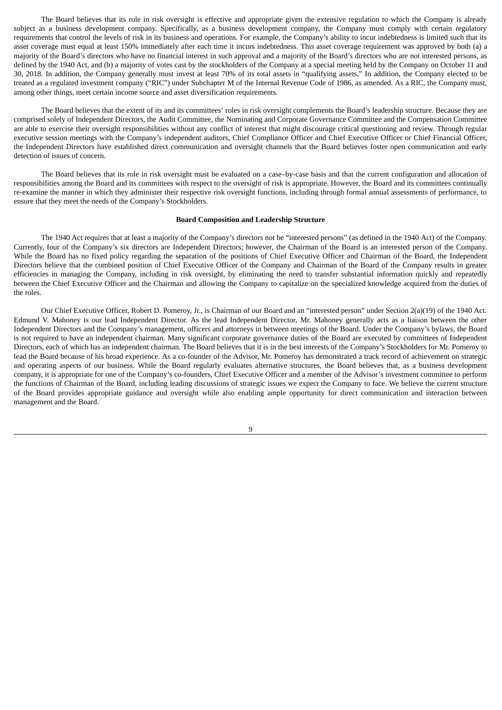The Board believes that its role in risk oversight is effective and appropriate given the extensive regulation to which the Company is already subject as a business development company. Specifically, as a business development company, the Company must comply with certain regulatory requirements that control the levels of risk in its business and operations. For example, the Company's ability to incur indebtedness is limited such that its asset coverage must equal at least 150% immediately after each time it incurs indebtedness. This asset coverage requirement was approved by both (a) a majority of the Board's directors who have no financial interest in such approval and a majority of the Board's directors who are not interested persons, as defined by the 1940 Act, and (b) a majority of votes cast by the stockholders of the Company at a special meeting held by the Company on October 11 and 30, 2018. In addition, the Company generally must invest at least 70% of its total assets in "qualifying assets." In addition, the Company elected to be treated as a regulated investment company ("RIC") under Subchapter M of the Internal Revenue Code of 1986, as amended. As a RIC, the Company must, among other things, meet certain income source and asset diversification requirements.

The Board believes that the extent of its and its committees' roles in risk oversight complements the Board's leadership structure. Because they are comprised solely of Independent Directors, the Audit Committee, the Nominating and Corporate Governance Committee and the Compensation Committee are able to exercise their oversight responsibilities without any conflict of interest that might discourage critical questioning and review. Through regular executive session meetings with the Company's independent auditors, Chief Compliance Officer and Chief Executive Officer or Chief Financial Officer, the Independent Directors have established direct communication and oversight channels that the Board believes foster open communication and early detection of issues of concern.

The Board believes that its role in risk oversight must be evaluated on a case–by-case basis and that the current configuration and allocation of responsibilities among the Board and its committees with respect to the oversight of risk is appropriate. However, the Board and its committees continually re-examine the manner in which they administer their respective risk oversight functions, including through formal annual assessments of performance, to ensure that they meet the needs of the Company's Stockholders.

#### **Board Composition and Leadership Structure**

The 1940 Act requires that at least a majority of the Company's directors not be "interested persons" (as defined in the 1940 Act) of the Company. Currently, four of the Company's six directors are Independent Directors; however, the Chairman of the Board is an interested person of the Company. While the Board has no fixed policy regarding the separation of the positions of Chief Executive Officer and Chairman of the Board, the Independent Directors believe that the combined position of Chief Executive Officer of the Company and Chairman of the Board of the Company results in greater efficiencies in managing the Company, including in risk oversight, by eliminating the need to transfer substantial information quickly and repeatedly between the Chief Executive Officer and the Chairman and allowing the Company to capitalize on the specialized knowledge acquired from the duties of the roles.

Our Chief Executive Officer, Robert D. Pomeroy, Jr., is Chairman of our Board and an "interested person" under Section 2(a)(19) of the 1940 Act. Edmund V. Mahoney is our lead Independent Director. As the lead Independent Director, Mr. Mahoney generally acts as a liaison between the other Independent Directors and the Company's management, officers and attorneys in between meetings of the Board. Under the Company's bylaws, the Board is not required to have an independent chairman. Many significant corporate governance duties of the Board are executed by committees of Independent Directors, each of which has an independent chairman. The Board believes that it is in the best interests of the Company's Stockholders for Mr. Pomeroy to lead the Board because of his broad experience. As a co-founder of the Advisor, Mr. Pomeroy has demonstrated a track record of achievement on strategic and operating aspects of our business. While the Board regularly evaluates alternative structures, the Board believes that, as a business development company, it is appropriate for one of the Company's co-founders, Chief Executive Officer and a member of the Advisor's investment committee to perform the functions of Chairman of the Board, including leading discussions of strategic issues we expect the Company to face. We believe the current structure of the Board provides appropriate guidance and oversight while also enabling ample opportunity for direct communication and interaction between management and the Board.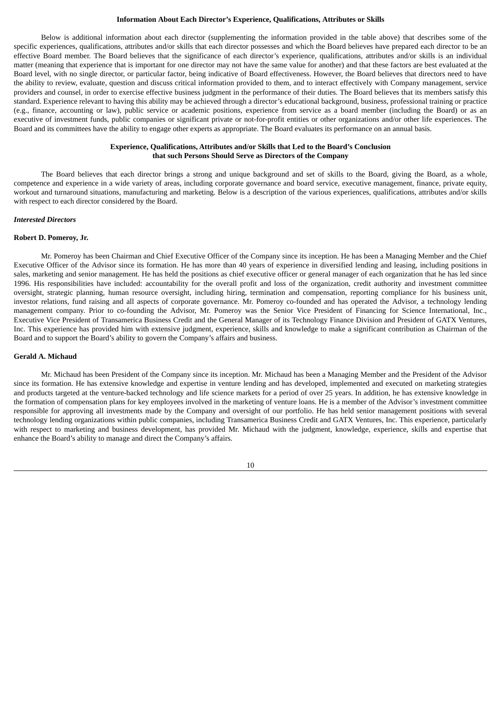#### **Information About Each Director's Experience, Qualifications, Attributes or Skills**

Below is additional information about each director (supplementing the information provided in the table above) that describes some of the specific experiences, qualifications, attributes and/or skills that each director possesses and which the Board believes have prepared each director to be an effective Board member. The Board believes that the significance of each director's experience, qualifications, attributes and/or skills is an individual matter (meaning that experience that is important for one director may not have the same value for another) and that these factors are best evaluated at the Board level, with no single director, or particular factor, being indicative of Board effectiveness. However, the Board believes that directors need to have the ability to review, evaluate, question and discuss critical information provided to them, and to interact effectively with Company management, service providers and counsel, in order to exercise effective business judgment in the performance of their duties. The Board believes that its members satisfy this standard. Experience relevant to having this ability may be achieved through a director's educational background, business, professional training or practice (e.g., finance, accounting or law), public service or academic positions, experience from service as a board member (including the Board) or as an executive of investment funds, public companies or significant private or not-for-profit entities or other organizations and/or other life experiences. The Board and its committees have the ability to engage other experts as appropriate. The Board evaluates its performance on an annual basis.

## **Experience, Qualifications, Attributes and/or Skills that Led to the Board's Conclusion that such Persons Should Serve as Directors of the Company**

The Board believes that each director brings a strong and unique background and set of skills to the Board, giving the Board, as a whole, competence and experience in a wide variety of areas, including corporate governance and board service, executive management, finance, private equity, workout and turnaround situations, manufacturing and marketing. Below is a description of the various experiences, qualifications, attributes and/or skills with respect to each director considered by the Board.

#### *Interested Directors*

#### **Robert D. Pomeroy, Jr.**

Mr. Pomeroy has been Chairman and Chief Executive Officer of the Company since its inception. He has been a Managing Member and the Chief Executive Officer of the Advisor since its formation. He has more than 40 years of experience in diversified lending and leasing, including positions in sales, marketing and senior management. He has held the positions as chief executive officer or general manager of each organization that he has led since 1996. His responsibilities have included: accountability for the overall profit and loss of the organization, credit authority and investment committee oversight, strategic planning, human resource oversight, including hiring, termination and compensation, reporting compliance for his business unit, investor relations, fund raising and all aspects of corporate governance. Mr. Pomeroy co-founded and has operated the Advisor, a technology lending management company. Prior to co-founding the Advisor, Mr. Pomeroy was the Senior Vice President of Financing for Science International, Inc., Executive Vice President of Transamerica Business Credit and the General Manager of its Technology Finance Division and President of GATX Ventures, Inc. This experience has provided him with extensive judgment, experience, skills and knowledge to make a significant contribution as Chairman of the Board and to support the Board's ability to govern the Company's affairs and business.

#### **Gerald A. Michaud**

Mr. Michaud has been President of the Company since its inception. Mr. Michaud has been a Managing Member and the President of the Advisor since its formation. He has extensive knowledge and expertise in venture lending and has developed, implemented and executed on marketing strategies and products targeted at the venture-backed technology and life science markets for a period of over 25 years. In addition, he has extensive knowledge in the formation of compensation plans for key employees involved in the marketing of venture loans. He is a member of the Advisor's investment committee responsible for approving all investments made by the Company and oversight of our portfolio. He has held senior management positions with several technology lending organizations within public companies, including Transamerica Business Credit and GATX Ventures, Inc. This experience, particularly with respect to marketing and business development, has provided Mr. Michaud with the judgment, knowledge, experience, skills and expertise that enhance the Board's ability to manage and direct the Company's affairs.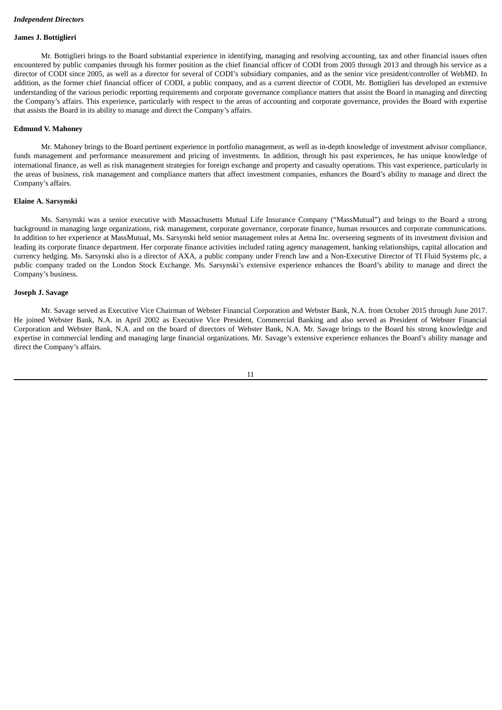#### **James J. Bottiglieri**

Mr. Bottiglieri brings to the Board substantial experience in identifying, managing and resolving accounting, tax and other financial issues often encountered by public companies through his former position as the chief financial officer of CODI from 2005 through 2013 and through his service as a director of CODI since 2005, as well as a director for several of CODI's subsidiary companies, and as the senior vice president/controller of WebMD. In addition, as the former chief financial officer of CODI, a public company, and as a current director of CODI, Mr. Bottiglieri has developed an extensive understanding of the various periodic reporting requirements and corporate governance compliance matters that assist the Board in managing and directing the Company's affairs. This experience, particularly with respect to the areas of accounting and corporate governance, provides the Board with expertise that assists the Board in its ability to manage and direct the Company's affairs.

#### **Edmund V. Mahoney**

Mr. Mahoney brings to the Board pertinent experience in portfolio management, as well as in-depth knowledge of investment advisor compliance, funds management and performance measurement and pricing of investments. In addition, through his past experiences, he has unique knowledge of international finance, as well as risk management strategies for foreign exchange and property and casualty operations. This vast experience, particularly in the areas of business, risk management and compliance matters that affect investment companies, enhances the Board's ability to manage and direct the Company's affairs.

#### **Elaine A. Sarsynski**

Ms. Sarsynski was a senior executive with Massachusetts Mutual Life Insurance Company ("MassMutual") and brings to the Board a strong background in managing large organizations, risk management, corporate governance, corporate finance, human resources and corporate communications. In addition to her experience at MassMutual, Ms. Sarsynski held senior management roles at Aetna Inc. overseeing segments of its investment division and leading its corporate finance department. Her corporate finance activities included rating agency management, banking relationships, capital allocation and currency hedging. Ms. Sarsynski also is a director of AXA, a public company under French law and a Non-Executive Director of TI Fluid Systems plc, a public company traded on the London Stock Exchange. Ms. Sarsynski's extensive experience enhances the Board's ability to manage and direct the Company's business.

## **Joseph J. Savage**

Mr. Savage served as Executive Vice Chairman of Webster Financial Corporation and Webster Bank, N.A. from October 2015 through June 2017. He joined Webster Bank, N.A. in April 2002 as Executive Vice President, Commercial Banking and also served as President of Webster Financial Corporation and Webster Bank, N.A. and on the board of directors of Webster Bank, N.A. Mr. Savage brings to the Board his strong knowledge and expertise in commercial lending and managing large financial organizations. Mr. Savage's extensive experience enhances the Board's ability manage and direct the Company's affairs.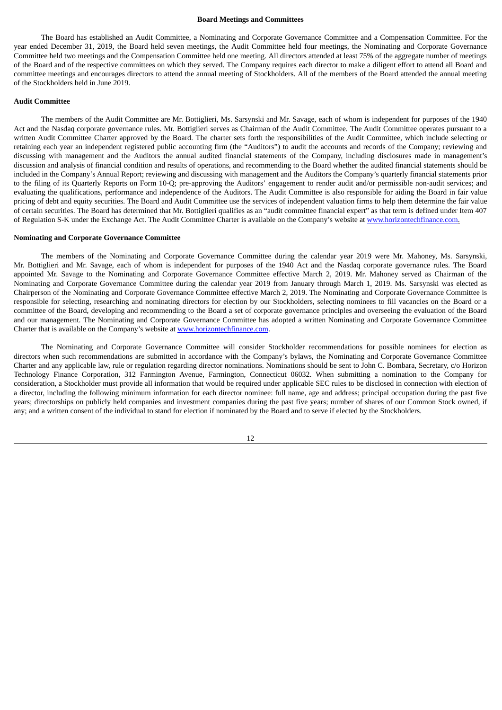#### **Board Meetings and Committees**

The Board has established an Audit Committee, a Nominating and Corporate Governance Committee and a Compensation Committee. For the year ended December 31, 2019, the Board held seven meetings, the Audit Committee held four meetings, the Nominating and Corporate Governance Committee held two meetings and the Compensation Committee held one meeting. All directors attended at least 75% of the aggregate number of meetings of the Board and of the respective committees on which they served. The Company requires each director to make a diligent effort to attend all Board and committee meetings and encourages directors to attend the annual meeting of Stockholders. All of the members of the Board attended the annual meeting of the Stockholders held in June 2019.

#### **Audit Committee**

The members of the Audit Committee are Mr. Bottiglieri, Ms. Sarsynski and Mr. Savage, each of whom is independent for purposes of the 1940 Act and the Nasdaq corporate governance rules. Mr. Bottiglieri serves as Chairman of the Audit Committee. The Audit Committee operates pursuant to a written Audit Committee Charter approved by the Board. The charter sets forth the responsibilities of the Audit Committee, which include selecting or retaining each year an independent registered public accounting firm (the "Auditors") to audit the accounts and records of the Company; reviewing and discussing with management and the Auditors the annual audited financial statements of the Company, including disclosures made in management's discussion and analysis of financial condition and results of operations, and recommending to the Board whether the audited financial statements should be included in the Company's Annual Report; reviewing and discussing with management and the Auditors the Company's quarterly financial statements prior to the filing of its Quarterly Reports on Form 10-Q; pre-approving the Auditors' engagement to render audit and/or permissible non-audit services; and evaluating the qualifications, performance and independence of the Auditors. The Audit Committee is also responsible for aiding the Board in fair value pricing of debt and equity securities. The Board and Audit Committee use the services of independent valuation firms to help them determine the fair value of certain securities. The Board has determined that Mr. Bottiglieri qualifies as an "audit committee financial expert" as that term is defined under Item 407 of Regulation S-K under the Exchange Act. The Audit Committee Charter is available on the Company's website at www.horizontechfinance.com.

#### **Nominating and Corporate Governance Committee**

The members of the Nominating and Corporate Governance Committee during the calendar year 2019 were Mr. Mahoney, Ms. Sarsynski, Mr. Bottiglieri and Mr. Savage, each of whom is independent for purposes of the 1940 Act and the Nasdaq corporate governance rules. The Board appointed Mr. Savage to the Nominating and Corporate Governance Committee effective March 2, 2019. Mr. Mahoney served as Chairman of the Nominating and Corporate Governance Committee during the calendar year 2019 from January through March 1, 2019. Ms. Sarsynski was elected as Chairperson of the Nominating and Corporate Governance Committee effective March 2, 2019. The Nominating and Corporate Governance Committee is responsible for selecting, researching and nominating directors for election by our Stockholders, selecting nominees to fill vacancies on the Board or a committee of the Board, developing and recommending to the Board a set of corporate governance principles and overseeing the evaluation of the Board and our management. The Nominating and Corporate Governance Committee has adopted a written Nominating and Corporate Governance Committee Charter that is available on the Company's website at www.horizontechfinance.com.

The Nominating and Corporate Governance Committee will consider Stockholder recommendations for possible nominees for election as directors when such recommendations are submitted in accordance with the Company's bylaws, the Nominating and Corporate Governance Committee Charter and any applicable law, rule or regulation regarding director nominations. Nominations should be sent to John C. Bombara, Secretary, c/o Horizon Technology Finance Corporation, 312 Farmington Avenue, Farmington, Connecticut 06032. When submitting a nomination to the Company for consideration, a Stockholder must provide all information that would be required under applicable SEC rules to be disclosed in connection with election of a director, including the following minimum information for each director nominee: full name, age and address; principal occupation during the past five years; directorships on publicly held companies and investment companies during the past five years; number of shares of our Common Stock owned, if any; and a written consent of the individual to stand for election if nominated by the Board and to serve if elected by the Stockholders.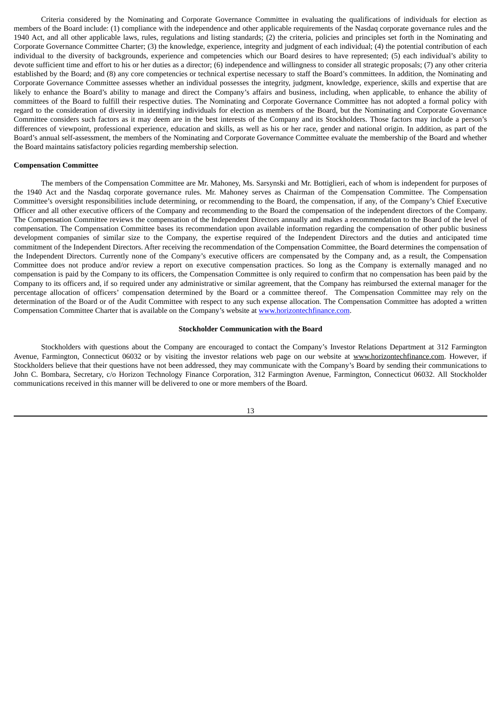Criteria considered by the Nominating and Corporate Governance Committee in evaluating the qualifications of individuals for election as members of the Board include: (1) compliance with the independence and other applicable requirements of the Nasdaq corporate governance rules and the 1940 Act, and all other applicable laws, rules, regulations and listing standards; (2) the criteria, policies and principles set forth in the Nominating and Corporate Governance Committee Charter; (3) the knowledge, experience, integrity and judgment of each individual; (4) the potential contribution of each individual to the diversity of backgrounds, experience and competencies which our Board desires to have represented; (5) each individual's ability to devote sufficient time and effort to his or her duties as a director; (6) independence and willingness to consider all strategic proposals; (7) any other criteria established by the Board; and (8) any core competencies or technical expertise necessary to staff the Board's committees. In addition, the Nominating and Corporate Governance Committee assesses whether an individual possesses the integrity, judgment, knowledge, experience, skills and expertise that are likely to enhance the Board's ability to manage and direct the Company's affairs and business, including, when applicable, to enhance the ability of committees of the Board to fulfill their respective duties. The Nominating and Corporate Governance Committee has not adopted a formal policy with regard to the consideration of diversity in identifying individuals for election as members of the Board, but the Nominating and Corporate Governance Committee considers such factors as it may deem are in the best interests of the Company and its Stockholders. Those factors may include a person's differences of viewpoint, professional experience, education and skills, as well as his or her race, gender and national origin. In addition, as part of the Board's annual self-assessment, the members of the Nominating and Corporate Governance Committee evaluate the membership of the Board and whether the Board maintains satisfactory policies regarding membership selection.

#### **Compensation Committee**

The members of the Compensation Committee are Mr. Mahoney, Ms. Sarsynski and Mr. Bottiglieri, each of whom is independent for purposes of the 1940 Act and the Nasdaq corporate governance rules. Mr. Mahoney serves as Chairman of the Compensation Committee. The Compensation Committee's oversight responsibilities include determining, or recommending to the Board, the compensation, if any, of the Company's Chief Executive Officer and all other executive officers of the Company and recommending to the Board the compensation of the independent directors of the Company. The Compensation Committee reviews the compensation of the Independent Directors annually and makes a recommendation to the Board of the level of compensation. The Compensation Committee bases its recommendation upon available information regarding the compensation of other public business development companies of similar size to the Company, the expertise required of the Independent Directors and the duties and anticipated time commitment of the Independent Directors. After receiving the recommendation of the Compensation Committee, the Board determines the compensation of the Independent Directors. Currently none of the Company's executive officers are compensated by the Company and, as a result, the Compensation Committee does not produce and/or review a report on executive compensation practices. So long as the Company is externally managed and no compensation is paid by the Company to its officers, the Compensation Committee is only required to confirm that no compensation has been paid by the Company to its officers and, if so required under any administrative or similar agreement, that the Company has reimbursed the external manager for the percentage allocation of officers' compensation determined by the Board or a committee thereof. The Compensation Committee may rely on the determination of the Board or of the Audit Committee with respect to any such expense allocation. The Compensation Committee has adopted a written Compensation Committee Charter that is available on the Company's website at www.horizontechfinance.com.

#### **Stockholder Communication with the Board**

Stockholders with questions about the Company are encouraged to contact the Company's Investor Relations Department at 312 Farmington Avenue, Farmington, Connecticut 06032 or by visiting the investor relations web page on our website at www.horizontechfinance.com. However, if Stockholders believe that their questions have not been addressed, they may communicate with the Company's Board by sending their communications to John C. Bombara, Secretary, c/o Horizon Technology Finance Corporation, 312 Farmington Avenue, Farmington, Connecticut 06032. All Stockholder communications received in this manner will be delivered to one or more members of the Board.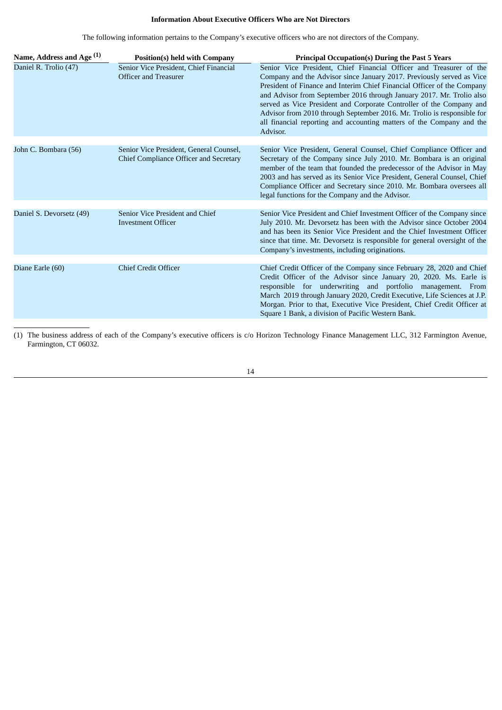## **Information About Executive Officers Who are Not Directors**

The following information pertains to the Company's executive officers who are not directors of the Company.

| Name, Address and Age <sup>(1)</sup> | <b>Position(s) held with Company</b>                                                     | <b>Principal Occupation(s) During the Past 5 Years</b>                                                                                                                                                                                                                                                                                                                                                                                                                                                                                   |
|--------------------------------------|------------------------------------------------------------------------------------------|------------------------------------------------------------------------------------------------------------------------------------------------------------------------------------------------------------------------------------------------------------------------------------------------------------------------------------------------------------------------------------------------------------------------------------------------------------------------------------------------------------------------------------------|
| Daniel R. Trolio (47)                | Senior Vice President, Chief Financial<br>Officer and Treasurer                          | Senior Vice President, Chief Financial Officer and Treasurer of the<br>Company and the Advisor since January 2017. Previously served as Vice<br>President of Finance and Interim Chief Financial Officer of the Company<br>and Advisor from September 2016 through January 2017. Mr. Trolio also<br>served as Vice President and Corporate Controller of the Company and<br>Advisor from 2010 through September 2016. Mr. Trolio is responsible for<br>all financial reporting and accounting matters of the Company and the<br>Advisor. |
| John C. Bombara (56)                 | Senior Vice President, General Counsel,<br><b>Chief Compliance Officer and Secretary</b> | Senior Vice President, General Counsel, Chief Compliance Officer and<br>Secretary of the Company since July 2010. Mr. Bombara is an original<br>member of the team that founded the predecessor of the Advisor in May<br>2003 and has served as its Senior Vice President, General Counsel, Chief<br>Compliance Officer and Secretary since 2010. Mr. Bombara oversees all<br>legal functions for the Company and the Advisor.                                                                                                           |
| Daniel S. Devorsetz (49)             | Senior Vice President and Chief<br><b>Investment Officer</b>                             | Senior Vice President and Chief Investment Officer of the Company since<br>July 2010. Mr. Devorsetz has been with the Advisor since October 2004<br>and has been its Senior Vice President and the Chief Investment Officer<br>since that time. Mr. Devorsetz is responsible for general oversight of the<br>Company's investments, including originations.                                                                                                                                                                              |
| Diane Earle (60)                     | <b>Chief Credit Officer</b>                                                              | Chief Credit Officer of the Company since February 28, 2020 and Chief<br>Credit Officer of the Advisor since January 20, 2020. Ms. Earle is<br>responsible for underwriting and portfolio management. From<br>March 2019 through January 2020, Credit Executive, Life Sciences at J.P.<br>Morgan. Prior to that, Executive Vice President, Chief Credit Officer at<br>Square 1 Bank, a division of Pacific Western Bank.                                                                                                                 |

(1) The business address of each of the Company's executive officers is c/o Horizon Technology Finance Management LLC, 312 Farmington Avenue, Farmington, CT 06032.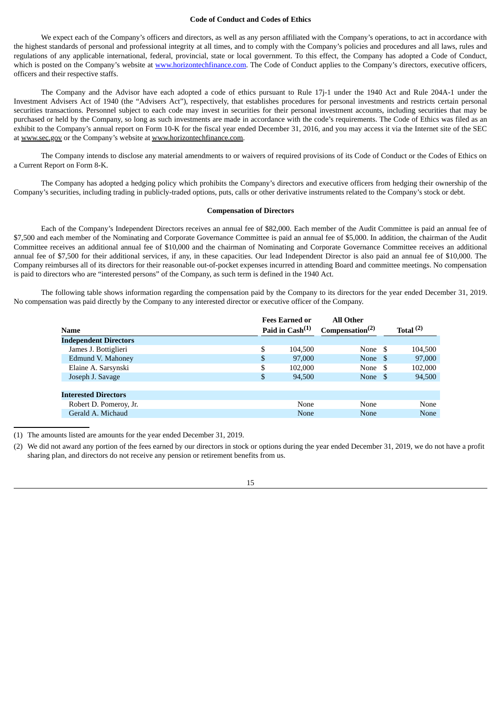#### **Code of Conduct and Codes of Ethics**

We expect each of the Company's officers and directors, as well as any person affiliated with the Company's operations, to act in accordance with the highest standards of personal and professional integrity at all times, and to comply with the Company's policies and procedures and all laws, rules and regulations of any applicable international, federal, provincial, state or local government. To this effect, the Company has adopted a Code of Conduct, which is posted on the Company's website at www.horizontechfinance.com. The Code of Conduct applies to the Company's directors, executive officers, officers and their respective staffs.

The Company and the Advisor have each adopted a code of ethics pursuant to Rule 17j-1 under the 1940 Act and Rule 204A-1 under the Investment Advisers Act of 1940 (the "Advisers Act"), respectively, that establishes procedures for personal investments and restricts certain personal securities transactions. Personnel subject to each code may invest in securities for their personal investment accounts, including securities that may be purchased or held by the Company, so long as such investments are made in accordance with the code's requirements. The Code of Ethics was filed as an exhibit to the Company's annual report on Form 10-K for the fiscal year ended December 31, 2016, and you may access it via the Internet site of the SEC at www.sec.gov or the Company's website at www.horizontechfinance.com.

The Company intends to disclose any material amendments to or waivers of required provisions of its Code of Conduct or the Codes of Ethics on a Current Report on Form 8-K.

The Company has adopted a hedging policy which prohibits the Company's directors and executive officers from hedging their ownership of the Company's securities, including trading in publicly-traded options, puts, calls or other derivative instruments related to the Company's stock or debt.

#### **Compensation of Directors**

Each of the Company's Independent Directors receives an annual fee of \$82,000. Each member of the Audit Committee is paid an annual fee of \$7,500 and each member of the Nominating and Corporate Governance Committee is paid an annual fee of \$5,000. In addition, the chairman of the Audit Committee receives an additional annual fee of \$10,000 and the chairman of Nominating and Corporate Governance Committee receives an additional annual fee of \$7,500 for their additional services, if any, in these capacities. Our lead Independent Director is also paid an annual fee of \$10,000. The Company reimburses all of its directors for their reasonable out-of-pocket expenses incurred in attending Board and committee meetings. No compensation is paid to directors who are "interested persons" of the Company, as such term is defined in the 1940 Act.

The following table shows information regarding the compensation paid by the Company to its directors for the year ended December 31, 2019. No compensation was paid directly by the Company to any interested director or executive officer of the Company.

|                              | <b>Fees Earned or</b>       | <b>All Other</b>            |      |             |
|------------------------------|-----------------------------|-----------------------------|------|-------------|
| Name                         | Paid in $\text{Cash}^{(1)}$ | Compensation <sup>(2)</sup> |      | Total $(2)$ |
| <b>Independent Directors</b> |                             |                             |      |             |
| James J. Bottiglieri         | \$<br>104.500               | None                        | -S   | 104,500     |
| Edmund V. Mahoney            | \$<br>97,000                | None                        | -S   | 97,000      |
| Elaine A. Sarsynski          | \$<br>102.000               | None                        | - \$ | 102,000     |
| Joseph J. Savage             | \$<br>94,500                | None \$                     |      | 94,500      |
|                              |                             |                             |      |             |
| <b>Interested Directors</b>  |                             |                             |      |             |
| Robert D. Pomeroy, Jr.       | None                        | None                        |      | None        |
| Gerald A. Michaud            | None                        | None                        |      | None        |
|                              |                             |                             |      |             |

(1) The amounts listed are amounts for the year ended December 31, 2019.

(2) We did not award any portion of the fees earned by our directors in stock or options during the year ended December 31, 2019, we do not have a profit sharing plan, and directors do not receive any pension or retirement benefits from us.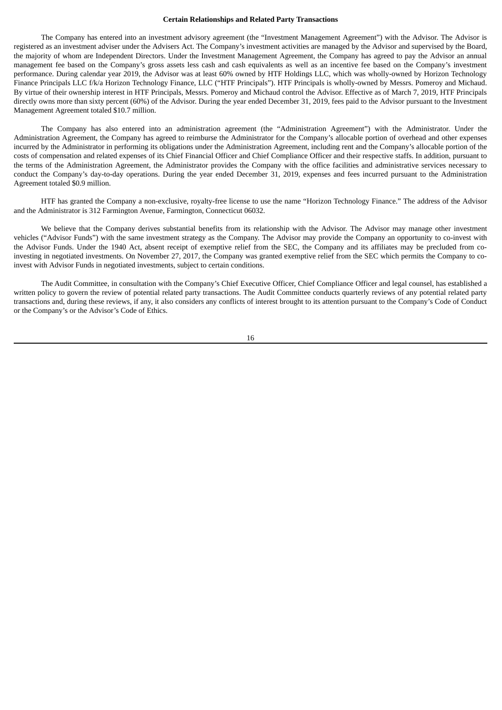#### **Certain Relationships and Related Party Transactions**

The Company has entered into an investment advisory agreement (the "Investment Management Agreement") with the Advisor. The Advisor is registered as an investment adviser under the Advisers Act. The Company's investment activities are managed by the Advisor and supervised by the Board, the majority of whom are Independent Directors. Under the Investment Management Agreement, the Company has agreed to pay the Advisor an annual management fee based on the Company's gross assets less cash and cash equivalents as well as an incentive fee based on the Company's investment performance. During calendar year 2019, the Advisor was at least 60% owned by HTF Holdings LLC, which was wholly-owned by Horizon Technology Finance Principals LLC f/k/a Horizon Technology Finance, LLC ("HTF Principals"). HTF Principals is wholly-owned by Messrs. Pomeroy and Michaud. By virtue of their ownership interest in HTF Principals, Messrs. Pomeroy and Michaud control the Advisor. Effective as of March 7, 2019, HTF Principals directly owns more than sixty percent (60%) of the Advisor. During the year ended December 31, 2019, fees paid to the Advisor pursuant to the Investment Management Agreement totaled \$10.7 million.

The Company has also entered into an administration agreement (the "Administration Agreement") with the Administrator. Under the Administration Agreement, the Company has agreed to reimburse the Administrator for the Company's allocable portion of overhead and other expenses incurred by the Administrator in performing its obligations under the Administration Agreement, including rent and the Company's allocable portion of the costs of compensation and related expenses of its Chief Financial Officer and Chief Compliance Officer and their respective staffs. In addition, pursuant to the terms of the Administration Agreement, the Administrator provides the Company with the office facilities and administrative services necessary to conduct the Company's day-to-day operations. During the year ended December 31, 2019, expenses and fees incurred pursuant to the Administration Agreement totaled \$0.9 million.

HTF has granted the Company a non-exclusive, royalty-free license to use the name "Horizon Technology Finance." The address of the Advisor and the Administrator is 312 Farmington Avenue, Farmington, Connecticut 06032.

We believe that the Company derives substantial benefits from its relationship with the Advisor. The Advisor may manage other investment vehicles ("Advisor Funds") with the same investment strategy as the Company. The Advisor may provide the Company an opportunity to co-invest with the Advisor Funds. Under the 1940 Act, absent receipt of exemptive relief from the SEC, the Company and its affiliates may be precluded from coinvesting in negotiated investments. On November 27, 2017, the Company was granted exemptive relief from the SEC which permits the Company to coinvest with Advisor Funds in negotiated investments, subject to certain conditions.

The Audit Committee, in consultation with the Company's Chief Executive Officer, Chief Compliance Officer and legal counsel, has established a written policy to govern the review of potential related party transactions. The Audit Committee conducts quarterly reviews of any potential related party transactions and, during these reviews, if any, it also considers any conflicts of interest brought to its attention pursuant to the Company's Code of Conduct or the Company's or the Advisor's Code of Ethics.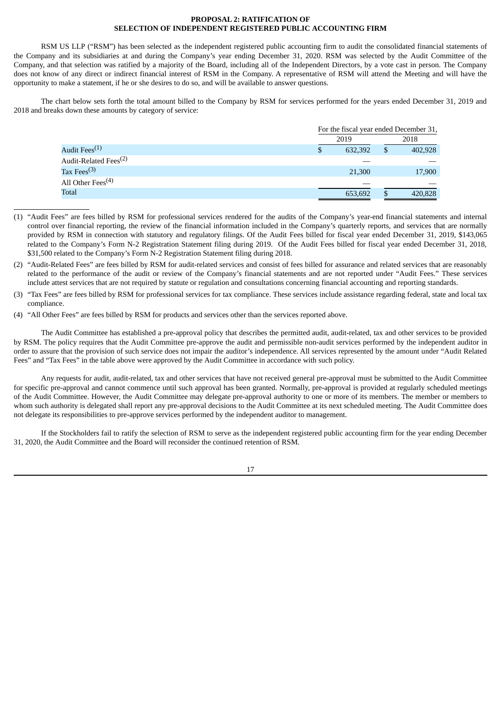### **PROPOSAL 2: RATIFICATION OF SELECTION OF INDEPENDENT REGISTERED PUBLIC ACCOUNTING FIRM**

RSM US LLP ("RSM") has been selected as the independent registered public accounting firm to audit the consolidated financial statements of the Company and its subsidiaries at and during the Company's year ending December 31, 2020. RSM was selected by the Audit Committee of the Company, and that selection was ratified by a majority of the Board, including all of the Independent Directors, by a vote cast in person. The Company does not know of any direct or indirect financial interest of RSM in the Company. A representative of RSM will attend the Meeting and will have the opportunity to make a statement, if he or she desires to do so, and will be available to answer questions.

The chart below sets forth the total amount billed to the Company by RSM for services performed for the years ended December 31, 2019 and 2018 and breaks down these amounts by category of service:

|                                   | For the fiscal year ended December 31, |               |
|-----------------------------------|----------------------------------------|---------------|
|                                   | 2019                                   | 2018          |
| Audit Fees <sup>(1)</sup>         | 632,392                                | \$<br>402,928 |
| Audit-Related Fees <sup>(2)</sup> |                                        |               |
| Tax Fees $^{(3)}$                 | 21,300                                 | 17,900        |
| All Other Fees <sup>(4)</sup>     |                                        |               |
| Total                             | 653,692                                | 420,828       |
|                                   |                                        |               |

- (1) "Audit Fees" are fees billed by RSM for professional services rendered for the audits of the Company's year-end financial statements and internal control over financial reporting, the review of the financial information included in the Company's quarterly reports, and services that are normally provided by RSM in connection with statutory and regulatory filings. Of the Audit Fees billed for fiscal year ended December 31, 2019, \$143,065 related to the Company's Form N-2 Registration Statement filing during 2019. Of the Audit Fees billed for fiscal year ended December 31, 2018, \$31,500 related to the Company's Form N-2 Registration Statement filing during 2018.
- (2) "Audit-Related Fees" are fees billed by RSM for audit-related services and consist of fees billed for assurance and related services that are reasonably related to the performance of the audit or review of the Company's financial statements and are not reported under "Audit Fees." These services include attest services that are not required by statute or regulation and consultations concerning financial accounting and reporting standards.
- (3) "Tax Fees" are fees billed by RSM for professional services for tax compliance. These services include assistance regarding federal, state and local tax compliance.
- (4) "All Other Fees" are fees billed by RSM for products and services other than the services reported above.

The Audit Committee has established a pre-approval policy that describes the permitted audit, audit-related, tax and other services to be provided by RSM. The policy requires that the Audit Committee pre-approve the audit and permissible non-audit services performed by the independent auditor in order to assure that the provision of such service does not impair the auditor's independence. All services represented by the amount under "Audit Related Fees" and "Tax Fees" in the table above were approved by the Audit Committee in accordance with such policy.

Any requests for audit, audit-related, tax and other services that have not received general pre-approval must be submitted to the Audit Committee for specific pre-approval and cannot commence until such approval has been granted. Normally, pre-approval is provided at regularly scheduled meetings of the Audit Committee. However, the Audit Committee may delegate pre-approval authority to one or more of its members. The member or members to whom such authority is delegated shall report any pre-approval decisions to the Audit Committee at its next scheduled meeting. The Audit Committee does not delegate its responsibilities to pre-approve services performed by the independent auditor to management.

If the Stockholders fail to ratify the selection of RSM to serve as the independent registered public accounting firm for the year ending December 31, 2020, the Audit Committee and the Board will reconsider the continued retention of RSM.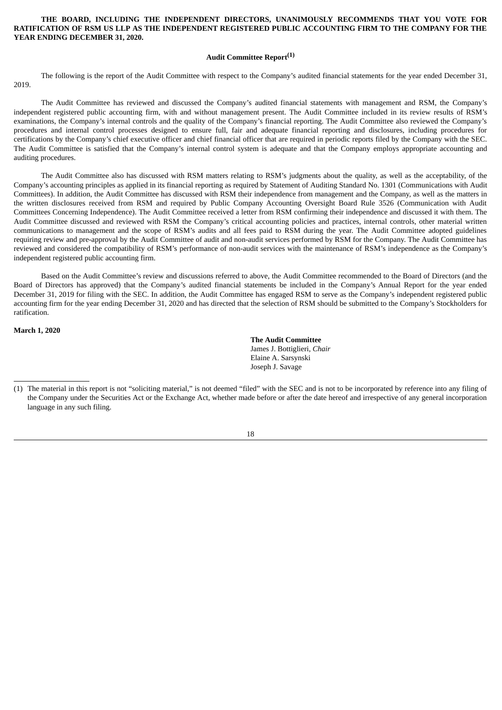## **THE BOARD, INCLUDING THE INDEPENDENT DIRECTORS, UNANIMOUSLY RECOMMENDS THAT YOU VOTE FOR RATIFICATION OF RSM US LLP AS THE INDEPENDENT REGISTERED PUBLIC ACCOUNTING FIRM TO THE COMPANY FOR THE YEAR ENDING DECEMBER 31, 2020.**

## **Audit Committee Report (1)**

The following is the report of the Audit Committee with respect to the Company's audited financial statements for the year ended December 31, 2019.

The Audit Committee has reviewed and discussed the Company's audited financial statements with management and RSM, the Company's independent registered public accounting firm, with and without management present. The Audit Committee included in its review results of RSM's examinations, the Company's internal controls and the quality of the Company's financial reporting. The Audit Committee also reviewed the Company's procedures and internal control processes designed to ensure full, fair and adequate financial reporting and disclosures, including procedures for certifications by the Company's chief executive officer and chief financial officer that are required in periodic reports filed by the Company with the SEC. The Audit Committee is satisfied that the Company's internal control system is adequate and that the Company employs appropriate accounting and auditing procedures.

The Audit Committee also has discussed with RSM matters relating to RSM's judgments about the quality, as well as the acceptability, of the Company's accounting principles as applied in its financial reporting as required by Statement of Auditing Standard No. 1301 (Communications with Audit Committees). In addition, the Audit Committee has discussed with RSM their independence from management and the Company, as well as the matters in the written disclosures received from RSM and required by Public Company Accounting Oversight Board Rule 3526 (Communication with Audit Committees Concerning Independence). The Audit Committee received a letter from RSM confirming their independence and discussed it with them. The Audit Committee discussed and reviewed with RSM the Company's critical accounting policies and practices, internal controls, other material written communications to management and the scope of RSM's audits and all fees paid to RSM during the year. The Audit Committee adopted guidelines requiring review and pre-approval by the Audit Committee of audit and non-audit services performed by RSM for the Company. The Audit Committee has reviewed and considered the compatibility of RSM's performance of non-audit services with the maintenance of RSM's independence as the Company's independent registered public accounting firm.

Based on the Audit Committee's review and discussions referred to above, the Audit Committee recommended to the Board of Directors (and the Board of Directors has approved) that the Company's audited financial statements be included in the Company's Annual Report for the year ended December 31, 2019 for filing with the SEC. In addition, the Audit Committee has engaged RSM to serve as the Company's independent registered public accounting firm for the year ending December 31, 2020 and has directed that the selection of RSM should be submitted to the Company's Stockholders for ratification.

**March 1, 2020**

**The Audit Committee** James J. Bottiglieri, *Chair* Elaine A. Sarsynski Joseph J. Savage

<sup>(1)</sup> The material in this report is not "soliciting material," is not deemed "filed" with the SEC and is not to be incorporated by reference into any filing of the Company under the Securities Act or the Exchange Act, whether made before or after the date hereof and irrespective of any general incorporation language in any such filing.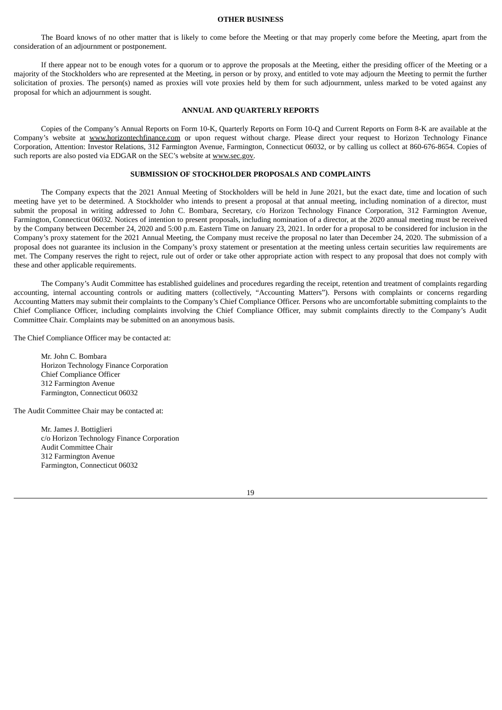#### **OTHER BUSINESS**

The Board knows of no other matter that is likely to come before the Meeting or that may properly come before the Meeting, apart from the consideration of an adjournment or postponement.

If there appear not to be enough votes for a quorum or to approve the proposals at the Meeting, either the presiding officer of the Meeting or a majority of the Stockholders who are represented at the Meeting, in person or by proxy, and entitled to vote may adjourn the Meeting to permit the further solicitation of proxies. The person(s) named as proxies will vote proxies held by them for such adjournment, unless marked to be voted against any proposal for which an adjournment is sought.

#### **ANNUAL AND QUARTERLY REPORTS**

Copies of the Company's Annual Reports on Form 10-K, Quarterly Reports on Form 10-Q and Current Reports on Form 8-K are available at the Company's website at www.horizontechfinance.com or upon request without charge. Please direct your request to Horizon Technology Finance Corporation, Attention: Investor Relations, 312 Farmington Avenue, Farmington, Connecticut 06032, or by calling us collect at 860-676-8654. Copies of such reports are also posted via EDGAR on the SEC's website at www.sec.gov.

## **SUBMISSION OF STOCKHOLDER PROPOSALS AND COMPLAINTS**

The Company expects that the 2021 Annual Meeting of Stockholders will be held in June 2021, but the exact date, time and location of such meeting have yet to be determined. A Stockholder who intends to present a proposal at that annual meeting, including nomination of a director, must submit the proposal in writing addressed to John C. Bombara, Secretary, c/o Horizon Technology Finance Corporation, 312 Farmington Avenue, Farmington, Connecticut 06032. Notices of intention to present proposals, including nomination of a director, at the 2020 annual meeting must be received by the Company between December 24, 2020 and 5:00 p.m. Eastern Time on January 23, 2021. In order for a proposal to be considered for inclusion in the Company's proxy statement for the 2021 Annual Meeting, the Company must receive the proposal no later than December 24, 2020. The submission of a proposal does not guarantee its inclusion in the Company's proxy statement or presentation at the meeting unless certain securities law requirements are met. The Company reserves the right to reject, rule out of order or take other appropriate action with respect to any proposal that does not comply with these and other applicable requirements.

The Company's Audit Committee has established guidelines and procedures regarding the receipt, retention and treatment of complaints regarding accounting, internal accounting controls or auditing matters (collectively, "Accounting Matters"). Persons with complaints or concerns regarding Accounting Matters may submit their complaints to the Company's Chief Compliance Officer. Persons who are uncomfortable submitting complaints to the Chief Compliance Officer, including complaints involving the Chief Compliance Officer, may submit complaints directly to the Company's Audit Committee Chair. Complaints may be submitted on an anonymous basis.

The Chief Compliance Officer may be contacted at:

Mr. John C. Bombara Horizon Technology Finance Corporation Chief Compliance Officer 312 Farmington Avenue Farmington, Connecticut 06032

The Audit Committee Chair may be contacted at:

Mr. James J. Bottiglieri c/o Horizon Technology Finance Corporation Audit Committee Chair 312 Farmington Avenue Farmington, Connecticut 06032

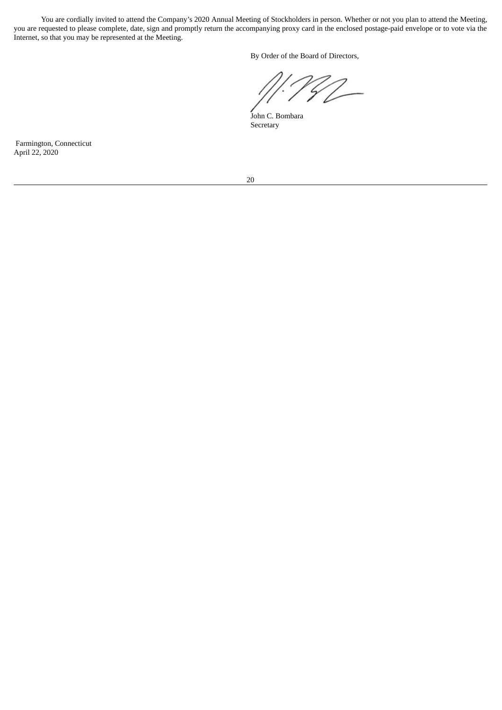You are cordially invited to attend the Company's 2020 Annual Meeting of Stockholders in person. Whether or not you plan to attend the Meeting, you are requested to please complete, date, sign and promptly return the accompanying proxy card in the enclosed postage-paid envelope or to vote via the Internet, so that you may be represented at the Meeting.

By Order of the Board of Directors,

John C. Bombara Secretary

Farmington, Connecticut April 22, 2020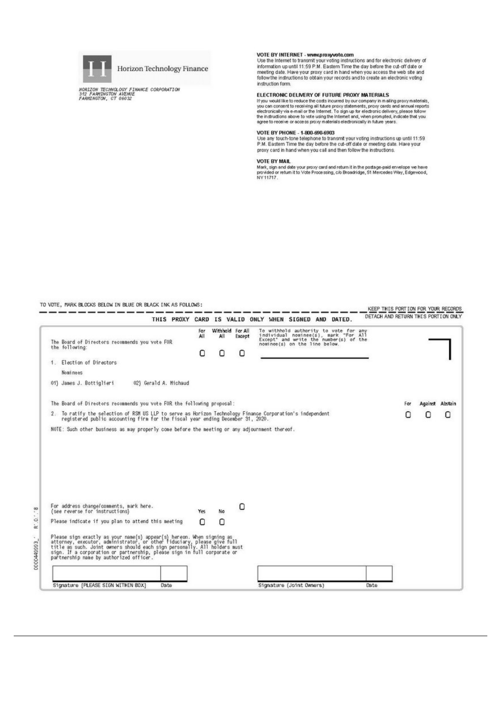

Horizon Technology Finance

HORIZON TECHNOLOGY FINANCE CORPORATION<br>342 FARMINGTON AVENUE<br>FARMINGTON, CT 06032

VOTE BY INTERNET - www.proxyvote.com<br>Use the Internet to transmit your voting instructions and for electronic delivery of<br>Information up until 11:59 P.M. Eastern Time the day before the cut-off date or<br>meeting date. Have y instruction form.

#### ELECTRONIC DELIVERY OF FUTURE PROXY MATERIALS

ELECT FROM THE CONTROL CONTROL OF THE PROOF THAT AND ENTIRED IT you would like to reduce the costs incurred by our company in mailing proxy materials, you can connent to receiving all future proxy statements, proxy cands a

#### VOTE BY PHONE - 1-800-690-6903

View of the telephone to transmit your voting instructions up until 11:59<br>P.M. Eastern Time the day before the cut-off date or meeting date. Have your<br>proxy card in hand when you call and then follow the instructions.

#### **VOTE BY MAIL**

VOTE BY MAIL<br>Mark, sign and date your proxy card and return it in the postage-paid envelope we have<br>provided or return it to Vote Processing, c/o Broadridge, 51 Mercedes Way, Edgewood,<br>NY11717.

TO VOTE, MARK BLOCKS BELOW IN BLUE OR BLACK INK AS FOLLOWS:

|                                                                                                                                                                                                                                                                                                                                                                                                        |                 |                              |             | THIS PROXY CARD IS VALID ONLY WHEN SIGNED AND DATED.                                                                                                     | DETACH AND RETURN THIS PORTION ONLY |     |         |         |
|--------------------------------------------------------------------------------------------------------------------------------------------------------------------------------------------------------------------------------------------------------------------------------------------------------------------------------------------------------------------------------------------------------|-----------------|------------------------------|-------------|----------------------------------------------------------------------------------------------------------------------------------------------------------|-------------------------------------|-----|---------|---------|
| The Board of Directors recommends you vote FOR<br>the following:                                                                                                                                                                                                                                                                                                                                       | For<br>All<br>О | Withhold For All<br>All<br>ο | Except<br>o | To withhold authority to vote for any<br>individual nominee(s), mark "For All<br>Except" and write the number(s) of the<br>nominee(s) on the line below. |                                     |     |         |         |
| 1. Election of Directors                                                                                                                                                                                                                                                                                                                                                                               |                 |                              |             |                                                                                                                                                          |                                     |     |         |         |
| Nominees                                                                                                                                                                                                                                                                                                                                                                                               |                 |                              |             |                                                                                                                                                          |                                     |     |         |         |
| 01) James J. Bottiglieri<br>02) Gerald A. Michaud                                                                                                                                                                                                                                                                                                                                                      |                 |                              |             |                                                                                                                                                          |                                     |     |         |         |
| The Board of Directors recommends you vote FOR the following proposal:                                                                                                                                                                                                                                                                                                                                 |                 |                              |             |                                                                                                                                                          |                                     | Far | Against | Abstain |
| 2. To ratify the selection of RSM US LLP to serve as Horizon Technology Finance Corporation's independent<br>registered public accounting firm for the fiscal year ending December 31, 2020.                                                                                                                                                                                                           |                 |                              |             |                                                                                                                                                          |                                     |     | Ω       | Ω       |
| NOTE: Such other business as may properly come before the meeting or any adjournment thereof.                                                                                                                                                                                                                                                                                                          |                 |                              |             |                                                                                                                                                          |                                     |     |         |         |
|                                                                                                                                                                                                                                                                                                                                                                                                        |                 |                              |             |                                                                                                                                                          |                                     |     |         |         |
|                                                                                                                                                                                                                                                                                                                                                                                                        |                 |                              |             |                                                                                                                                                          |                                     |     |         |         |
| For address change/comments, mark here.<br>(see neverse for instructions)                                                                                                                                                                                                                                                                                                                              | Yes             | No                           | О           |                                                                                                                                                          |                                     |     |         |         |
|                                                                                                                                                                                                                                                                                                                                                                                                        | Ω               | Ω                            |             |                                                                                                                                                          |                                     |     |         |         |
| Please indicate if you plan to attend this meeting<br>Please sign exactly as your name(s) appear(s) hereon. When signing as<br>attorney, executor, administrator, or other fiduciary, please give full<br>title as such. Joint owners should each sign personally. All holders must<br>sign. If a corporation or partnership, please sign in full corporate or partnership name by authorized officer. |                 |                              |             |                                                                                                                                                          |                                     |     |         |         |